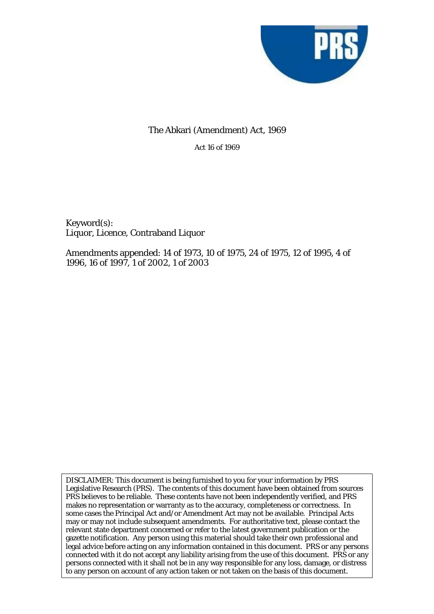

# The Abkari (Amendment) Act, 1969

Act 16 of 1969

Keyword(s): Liquor, Licence, Contraband Liquor

Amendments appended: 14 of 1973, 10 of 1975, 24 of 1975, 12 of 1995, 4 of 1996, 16 of 1997, 1 of 2002, 1 of 2003

DISCLAIMER: This document is being furnished to you for your information by PRS Legislative Research (PRS). The contents of this document have been obtained from sources PRS believes to be reliable. These contents have not been independently verified, and PRS makes no representation or warranty as to the accuracy, completeness or correctness. In some cases the Principal Act and/or Amendment Act may not be available. Principal Acts may or may not include subsequent amendments. For authoritative text, please contact the relevant state department concerned or refer to the latest government publication or the gazette notification. Any person using this material should take their own professional and legal advice before acting on any information contained in this document. PRS or any persons connected with it do not accept any liability arising from the use of this document. PRS or any persons connected with it shall not be in any way responsible for any loss, damage, or distress to any person on account of any action taken or not taken on the basis of this document.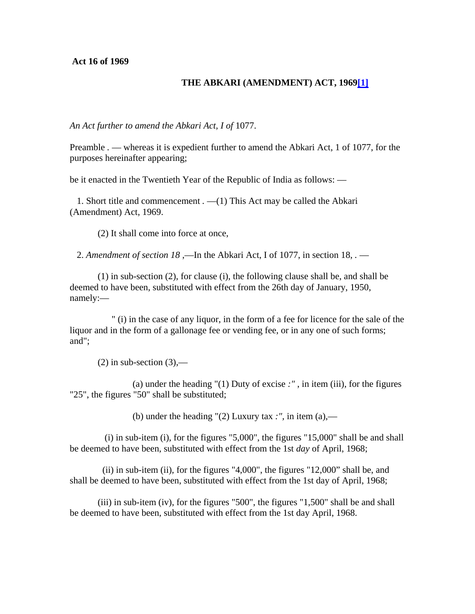**Act 16 of 1969** 

# **THE ABKARI (AMENDMENT) ACT, 1969[\[1\]](javascript:void(0))**

*An Act further to amend the Abkari Act, I of* 1077.

Preamble *.* — whereas it is expedient further to amend the Abkari Act, 1 of 1077, for the purposes hereinafter appearing;

be it enacted in the Twentieth Year of the Republic of India as follows: —

1. Short title and commencement *.* —(1) This Act may be called the Abkari (Amendment) Act, 1969.

(2) It shall come into force at once,

2. *Amendment of section 18* ,—In the Abkari Act, I of 1077, in section 18, *.* —

(1) in sub-section (2), for clause (i), the following clause shall be, and shall be deemed to have been, substituted with effect from the 26th day of January, 1950, namely:—

" (i) in the case of any liquor, in the form of a fee for licence for the sale of the liquor and in the form of a gallonage fee or vending fee, or in any one of such forms; and";

 $(2)$  in sub-section  $(3)$ ,—

(a) under the heading "(1) Duty of excise *:"* , in item (iii), for the figures "25", the figures "50" shall be substituted;

(b) under the heading  $'(2)$  Luxury tax *:*", in item (a),—

 $(i)$  in sub-item  $(i)$ , for the figures "5,000", the figures "15,000" shall be and shall be deemed to have been, substituted with effect from the 1st *day* of April, 1968;

(ii) in sub-item (ii), for the figures "4,000", the figures "12,000" shall be, and shall be deemed to have been, substituted with effect from the 1st day of April, 1968;

(iii) in sub-item (iv), for the figures "500", the figures "1,500" shall be and shall be deemed to have been, substituted with effect from the 1st day April, 1968.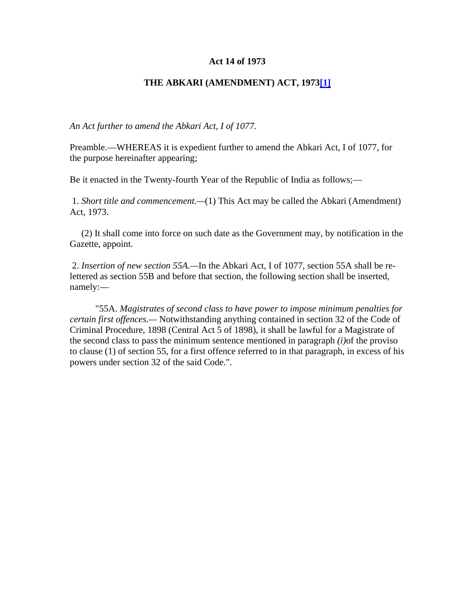#### **Act 14 of 1973**

## **THE ABKARI (AMENDMENT) ACT, 197[3\[1\]](javascript:void(0))**

*An Act further to amend the Abkari Act, I of 1077.*

Preamble.—WHEREAS it is expedient further to amend the Abkari Act, I of 1077, for the purpose hereinafter appearing;

Be it enacted in the Twenty-fourth Year of the Republic of India as follows;—

 1. *Short title and commencement.—*(1) This Act may be called the Abkari (Amendment) Act, 1973.

 (2) It shall come into force on such date as the Government may, by notification in the Gazette, appoint.

 2. *Insertion of new section 55A.—*In the Abkari Act, I of 1077, section 55A shall be relettered as section 55B and before that section, the following section shall be inserted, namely:—

 "55A. *Magistrates of second class to have power to impose minimum penalties for certain first offences.—* Notwithstanding anything contained in section 32 of the Code of Criminal Procedure, 1898 (Central Act 5 of 1898), it shall be lawful for a Magistrate of the second class to pass the minimum sentence mentioned in paragraph *(i)*of the proviso to clause (1) of section 55, for a first offence referred to in that paragraph, in excess of his powers under section 32 of the said Code.".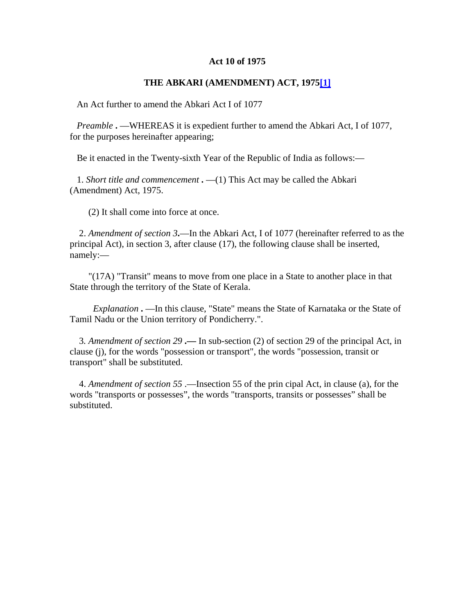#### **Act 10 of 1975**

#### **THE ABKARI (AMENDMENT) ACT, 197[5\[1\]](javascript:void(0))**

An Act further to amend the Abkari Act I of 1077

 *Preamble* **.** —WHEREAS it is expedient further to amend the Abkari Act, I of 1077, for the purposes hereinafter appearing;

Be it enacted in the Twenty-sixth Year of the Republic of India as follows:—

 1. *Short title and commencement* **.** —(1) This Act may be called the Abkari (Amendment) Act, 1975.

(2) It shall come into force at once.

 2. *Amendment of section 3***.**—In the Abkari Act, I of 1077 (hereinafter referred to as the principal Act), in section 3, after clause (17), the following clause shall be inserted, namely:—

 "(17A) "Transit" means to move from one place in a State to another place in that State through the territory of the State of Kerala.

 *Explanation* **.** —In this clause, "State" means the State of Karnataka or the State of Tamil Nadu or the Union territory of Pondicherry.".

 3*. Amendment of section 29* **.—** In sub-section (2) of section 29 of the principal Act, in clause (j), for the words "possession or transport", the words "possession, transit or transport" shall be substituted.

 4. *Amendment of section 55* .—Insection 55 of the prin cipal Act, in clause (a), for the words "transports or possesses", the words "transports, transits or possesses" shall be substituted.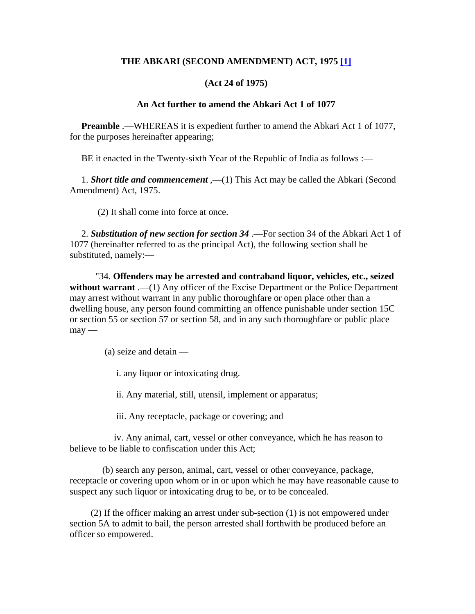# **THE ABKARI (SECOND AMENDMENT) ACT, 1975 [\[1\]](javascript:void(0))**

# **(Act 24 of 1975)**

#### **An Act further to amend the Abkari Act 1 of 1077**

**Preamble** .—WHEREAS it is expedient further to amend the Abkari Act 1 of 1077, for the purposes hereinafter appearing;

BE it enacted in the Twenty-sixth Year of the Republic of India as follows :—

 1. *Short title and commencement* ,—(1) This Act may be called the Abkari (Second Amendment) Act, 1975.

(2) It shall come into force at once.

 2. *Substitution of new section for section 34* .—For section 34 of the Abkari Act 1 of 1077 (hereinafter referred to as the principal Act), the following section shall be substituted, namely:—

 "34. **Offenders may be arrested and contraband liquor, vehicles, etc., seized**  without warrant .—(1) Any officer of the Excise Department or the Police Department may arrest without warrant in any public thoroughfare or open place other than a dwelling house, any person found committing an offence punishable under section 15C or section 55 or section 57 or section 58, and in any such thoroughfare or public place  $may -$ 

(a) seize and detain —

i. any liquor or intoxicating drug.

ii. Any material, still, utensil, implement or apparatus;

iii. Any receptacle, package or covering; and

 iv. Any animal, cart, vessel or other conveyance, which he has reason to believe to be liable to confiscation under this Act;

 (b) search any person, animal, cart, vessel or other conveyance, package, receptacle or covering upon whom or in or upon which he may have reasonable cause to suspect any such liquor or intoxicating drug to be, or to be concealed.

 (2) If the officer making an arrest under sub-section (1) is not empowered under section 5A to admit to bail, the person arrested shall forthwith be produced before an officer so empowered.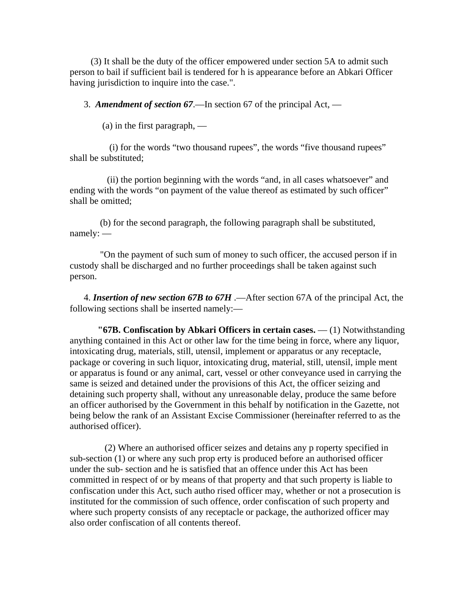(3) It shall be the duty of the officer empowered under section 5A to admit such person to bail if sufficient bail is tendered for h is appearance before an Abkari Officer having jurisdiction to inquire into the case.".

3. *Amendment of section 67*.—In section 67 of the principal Act, —

(a) in the first paragraph, —

 (i) for the words "two thousand rupees", the words "five thousand rupees" shall be substituted;

 (ii) the portion beginning with the words "and, in all cases whatsoever" and ending with the words "on payment of the value thereof as estimated by such officer" shall be omitted;

 (b) for the second paragraph, the following paragraph shall be substituted, namely: —

 "On the payment of such sum of money to such officer, the accused person if in custody shall be discharged and no further proceedings shall be taken against such person.

 4. *Insertion of new section 67B to 67H* .—After section 67A of the principal Act, the following sections shall be inserted namely:—

 **"67B. Confiscation by Abkari Officers in certain cases.** — (1) Notwithstanding anything contained in this Act or other law for the time being in force, where any liquor, intoxicating drug, materials, still, utensil, implement or apparatus or any receptacle, package or covering in such liquor, intoxicating drug, material, still, utensil, imple ment or apparatus is found or any animal, cart, vessel or other conveyance used in carrying the same is seized and detained under the provisions of this Act, the officer seizing and detaining such property shall, without any unreasonable delay, produce the same before an officer authorised by the Government in this behalf by notification in the Gazette, not being below the rank of an Assistant Excise Commissioner (hereinafter referred to as the authorised officer).

 (2) Where an authorised officer seizes and detains any p roperty specified in sub-section (1) or where any such prop erty is produced before an authorised officer under the sub- section and he is satisfied that an offence under this Act has been committed in respect of or by means of that property and that such property is liable to confiscation under this Act, such autho rised officer may, whether or not a prosecution is instituted for the commission of such offence, order confiscation of such property and where such property consists of any receptacle or package, the authorized officer may also order confiscation of all contents thereof.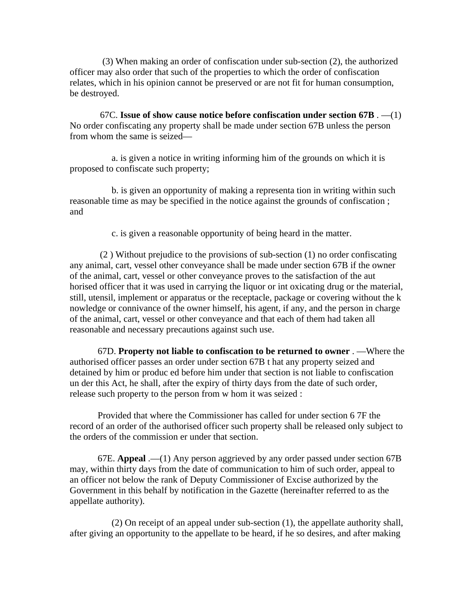(3) When making an order of confiscation under sub-section (2), the authorized officer may also order that such of the properties to which the order of confiscation relates, which in his opinion cannot be preserved or are not fit for human consumption, be destroyed.

 67C. **Issue of show cause notice before confiscation under section 67B** . —(1) No order confiscating any property shall be made under section 67B unless the person from whom the same is seized—

 a. is given a notice in writing informing him of the grounds on which it is proposed to confiscate such property;

 b. is given an opportunity of making a representa tion in writing within such reasonable time as may be specified in the notice against the grounds of confiscation ; and

c. is given a reasonable opportunity of being heard in the matter.

 (2 ) Without prejudice to the provisions of sub-section (1) no order confiscating any animal, cart, vessel other conveyance shall be made under section 67B if the owner of the animal, cart, vessel or other conveyance proves to the satisfaction of the aut horised officer that it was used in carrying the liquor or int oxicating drug or the material, still, utensil, implement or apparatus or the receptacle, package or covering without the k nowledge or connivance of the owner himself, his agent, if any, and the person in charge of the animal, cart, vessel or other conveyance and that each of them had taken all reasonable and necessary precautions against such use.

 67D. **Property not liable to confiscation to be returned to owner** . —Where the authorised officer passes an order under section 67B t hat any property seized and detained by him or produc ed before him under that section is not liable to confiscation un der this Act, he shall, after the expiry of thirty days from the date of such order, release such property to the person from w hom it was seized :

 Provided that where the Commissioner has called for under section 6 7F the record of an order of the authorised officer such property shall be released only subject to the orders of the commission er under that section.

 67E. **Appeal** .—(1) Any person aggrieved by any order passed under section 67B may, within thirty days from the date of communication to him of such order, appeal to an officer not below the rank of Deputy Commissioner of Excise authorized by the Government in this behalf by notification in the Gazette (hereinafter referred to as the appellate authority).

 (2) On receipt of an appeal under sub-section (1), the appellate authority shall, after giving an opportunity to the appellate to be heard, if he so desires, and after making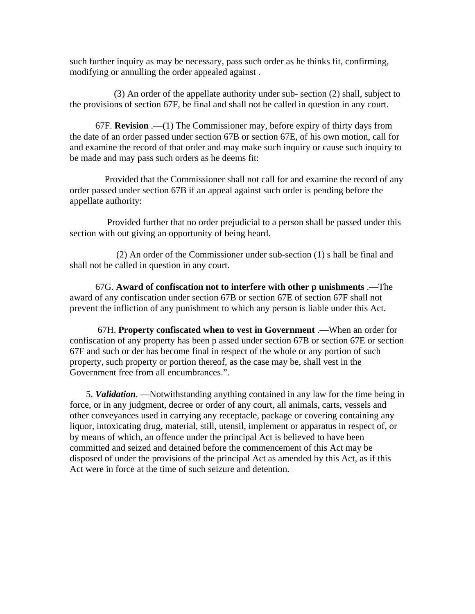such further inquiry as may be necessary, pass such order as he thinks fit, confirming, modifying or annulling the order appealed against .

 (3) An order of the appellate authority under sub- section (2) shall, subject to the provisions of section 67F, be final and shall not be called in question in any court.

 67F. **Revision** .—(1) The Commissioner may, before expiry of thirty days from the date of an order passed under section 67B or section 67E, of his own motion, call for and examine the record of that order and may make such inquiry or cause such inquiry to be made and may pass such orders as he deems fit:

 Provided that the Commissioner shall not call for and examine the record of any order passed under section 67B if an appeal against such order is pending before the appellate authority:

 Provided further that no order prejudicial to a person shall be passed under this section with out giving an opportunity of being heard.

 (2) An order of the Commissioner under sub-section (1) s hall be final and shall not be called in question in any court.

 67G. **Award of confiscation not to interfere with other p unishments** .—The award of any confiscation under section 67B or section 67E of section 67F shall not prevent the infliction of any punishment to which any person is liable under this Act.

 67H. **Property confiscated when to vest in Government** .—When an order for confiscation of any property has been p assed under section 67B or section 67E or section 67F and such or der has become final in respect of the whole or any portion of such property, such property or portion thereof, as the case may be, shall vest in the Government free from all encumbrances.".

 5. *Validation*. —Notwithstanding anything contained in any law for the time being in force, or in any judgment, decree or order of any court, all animals, carts, vessels and other conveyances used in carrying any receptacle, package or covering containing any liquor, intoxicating drug, material, still, utensil, implement or apparatus in respect of, or by means of which, an offence under the principal Act is believed to have been committed and seized and detained before the commencement of this Act may be disposed of under the provisions of the principal Act as amended by this Act, as if this Act were in force at the time of such seizure and detention.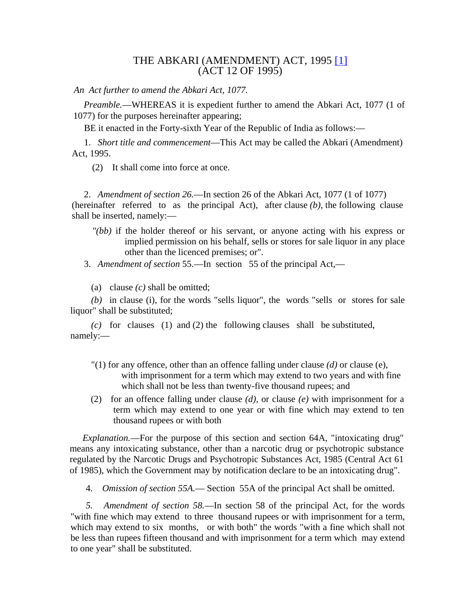# THE ABKARI (AMENDMENT) ACT, 1995 [\[1\]](http://keralalawsect.org/acts/Acts1995/Act12_1995/index.html#link1) (ACT 12 OF 1995)

*An Act further to amend the Abkari Act, 1077.*

*Preamble.*—WHEREAS it is expedient further to amend the Abkari Act, 1077 (1 of 1077) for the purposes hereinafter appearing;

BE it enacted in the Forty-sixth Year of the Republic of India as follows:—

1. *Short title and commencement*—This Act may be called the Abkari (Amendment) Act, 1995.

(2) It shall come into force at once.

2. *Amendment of section 26.*—In section 26 of the Abkari Act, 1077 (1 of 1077) (hereinafter referred to as the principal Act), after clause *(b),* the following clause shall be inserted, namely:—

- *"(bb)* if the holder thereof or his servant, or anyone acting with his express or implied permission on his behalf, sells or stores for sale liquor in any place other than the licenced premises; or".
- 3. *Amendment of section* 55.—In section 55 of the principal Act,—
	- (a) clause *(c)* shall be omitted;

*(b)* in clause (i), for the words "sells liquor", the words "sells or stores for sale liquor" shall be substituted;

*(c)* for clauses (1) and (2) the following clauses shall be substituted, namely:—

- "(1) for any offence, other than an offence falling under clause *(d)* or clause (e), with imprisonment for a term which may extend to two years and with fine which shall not be less than twenty-five thousand rupees; and
- (2) for an offence falling under clause *(d),* or clause *(e)* with imprisonment for a term which may extend to one year or with fine which may extend to ten thousand rupees or with both

*Explanation.*—For the purpose of this section and section 64A, "intoxicating drug" means any intoxicating substance, other than a narcotic drug or psychotropic substance regulated by the Narcotic Drugs and Psychotropic Substances Act, 1985 (Central Act 61 of 1985), which the Government may by notification declare to be an intoxicating drug".

4. *Omission of section 55A.*— Section 55A of the principal Act shall be omitted.

*5. Amendment of section 58.*—In section 58 of the principal Act, for the words "with fine which may extend to three thousand rupees or with imprisonment for a term, which may extend to six months, or with both" the words "with a fine which shall not be less than rupees fifteen thousand and with imprisonment for a term which may extend to one year" shall be substituted.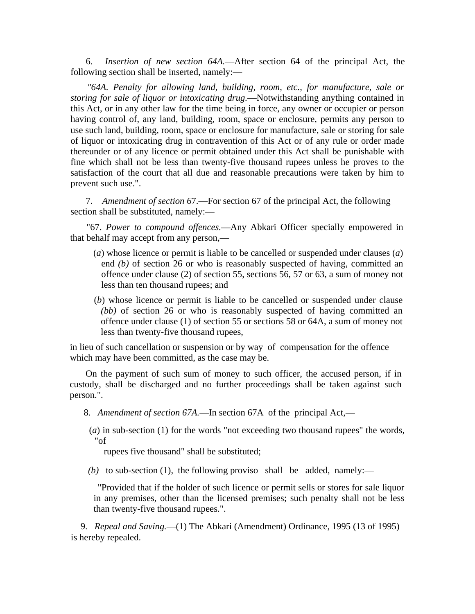6. *Insertion of new section 64A.*—After section 64 of the principal Act, the following section shall be inserted, namely:—

*"64A. Penalty for allowing land, building, room, etc., for manufacture, sale or storing for sale of liquor or intoxicating drug.*—Notwithstanding anything contained in this Act, or in any other law for the time being in force, any owner or occupier or person having control of, any land, building, room, space or enclosure, permits any person to use such land, building, room, space or enclosure for manufacture, sale or storing for sale of liquor or intoxicating drug in contravention of this Act or of any rule or order made thereunder or of any licence or permit obtained under this Act shall be punishable with fine which shall not be less than twenty-five thousand rupees unless he proves to the satisfaction of the court that all due and reasonable precautions were taken by him to prevent such use.".

7. *Amendment of section 6*7.—For section 67 of the principal Act, the following section shall be substituted, namely:—

"67. *Power to compound offences.*—Any Abkari Officer specially empowered in that behalf may accept from any person,—

- (*a*) whose licence or permit is liable to be cancelled or suspended under clauses (*a*) end *(b)* of section 26 or who is reasonably suspected of having, committed an offence under clause (2) of section 55, sections 56, 57 or 63, a sum of money not less than ten thousand rupees; and
- (*b*) whose licence or permit is liable to be cancelled or suspended under clause *(bb)* of section 26 or who is reasonably suspected of having committed an offence under clause (1) of section 55 or sections 58 or 64A, a sum of money not less than twenty-five thousand rupees,

in lieu of such cancellation or suspension or by way of compensation for the offence which may have been committed, as the case may be.

On the payment of such sum of money to such officer, the accused person, if in custody, shall be discharged and no further proceedings shall be taken against such person.".

8. *Amendment of section 67A.*—In section 67A of the principal Act,—

(*a*) in sub-section (1) for the words "not exceeding two thousand rupees" the words, "of

rupees five thousand" shall be substituted;

*(b)* to sub-section (1), the following proviso shall be added, namely:—

"Provided that if the holder of such licence or permit sells or stores for sale liquor in any premises, other than the licensed premises; such penalty shall not be less than twenty-five thousand rupees.".

9. *Repeal and Saving.*—(1) The Abkari (Amendment) Ordinance, 1995 (13 of 1995) is hereby repealed.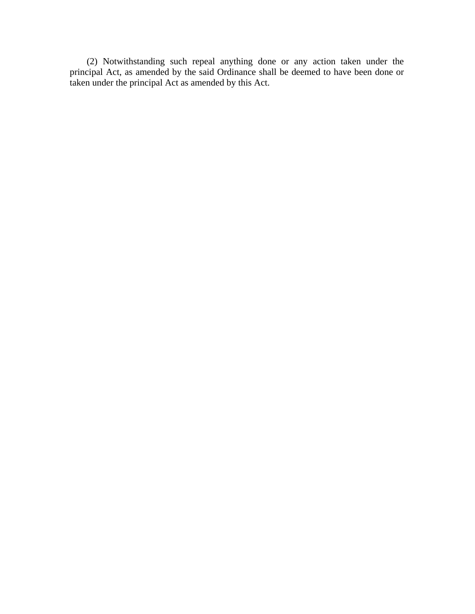(2) Notwithstanding such repeal anything done or any action taken under the principal Act, as amended by the said Ordinance shall be deemed to have been done or taken under the principal Act as amended by this Act.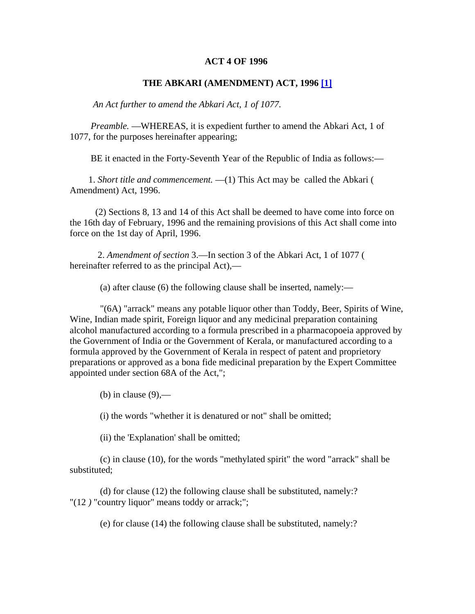#### **ACT 4 OF 1996**

#### **THE ABKARI (AMENDMENT) ACT, 1996 [\[1\]](javascript:void(0))**

 *An Act further to amend the Abkari Act, 1 of 1077.* 

*Preamble.* —WHEREAS, it is expedient further to amend the Abkari Act, 1 of 1077, for the purposes hereinafter appearing;

BE it enacted in the Forty-Seventh Year of the Republic of India as follows:—

 1. *Short title and commencement.* —(1) This Act may be called the Abkari ( Amendment) Act, 1996.

 (2) Sections 8, 13 and 14 of this Act shall be deemed to have come into force on the 16th day of February, 1996 and the remaining provisions of this Act shall come into force on the 1st day of April, 1996.

 2. *Amendment of section* 3.—In section 3 of the Abkari Act, 1 of 1077 ( hereinafter referred to as the principal Act),—

(a) after clause (6) the following clause shall be inserted, namely:—

 "(6A) "arrack" means any potable liquor other than Toddy, Beer, Spirits of Wine, Wine, Indian made spirit, Foreign liquor and any medicinal preparation containing alcohol manufactured according to a formula prescribed in a pharmacopoeia approved by the Government of India or the Government of Kerala, or manufactured according to a formula approved by the Government of Kerala in respect of patent and proprietory preparations or approved as a bona fide medicinal preparation by the Expert Committee appointed under section 68A of the Act,";

(b) in clause  $(9)$ ,—

(i) the words "whether it is denatured or not" shall be omitted;

(ii) the 'Explanation' shall be omitted;

 (c) in clause (10), for the words "methylated spirit" the word "arrack" shall be substituted;

 (d) for clause (12) the following clause shall be substituted, namely:? "(12 *)* "country liquor" means toddy or arrack;";

(e) for clause (14) the following clause shall be substituted, namely:?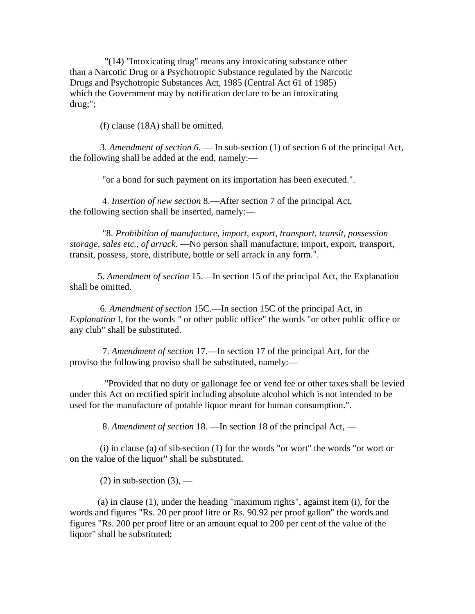"(14) "Intoxicating drug" means any intoxicating substance other than a Narcotic Drug or a Psychotropic Substance regulated by the Narcotic Drugs and Psychotropic Substances Act, 1985 (Central Act 61 of 1985) which the Government may by notification declare to be an intoxicating drug;";

(f) clause (18A) shall be omitted.

 3. *Amendment of section 6.* — In sub-section (1) of section 6 of the principal Act, the following shall be added at the end, namely:—

"or a bond for such payment on its importation has been executed.".

 4. *Insertion of new section* 8.—After section 7 of the principal Act, the following section shall be inserted, namely:—

 "8. *Prohibition of manufacture, import, export, transport, transit, possession storage, sales etc., of arrack.* —No person shall manufacture, import, export, transport, transit, possess, store, distribute, bottle or sell arrack in any form.".

 5. *Amendment of section* 15.—In section 15 of the principal Act, the Explanation shall be omitted.

 6. *Amendment of section* 15C.—In section 15C of the principal Act, in *Explanation* I, for the words *"* or other public office" the words "or other public office or any club" shall be substituted.

 7. *Amendment of section* 17.—In section 17 of the principal Act, for the proviso the following proviso shall be substituted, namely:—

 "Provided that no duty or gallonage fee or vend fee or other taxes shall be levied under this Act on rectified spirit including absolute alcohol which is not intended to be used for the manufacture of potable liquor meant for human consumption.".

8. *Amendment of section* 18. —In section 18 of the principal Act, —

 (i) in clause (a) of sib-section (1) for the words "or wort" the words "or wort or on the value of the liquor" shall be substituted.

 $(2)$  in sub-section  $(3)$ , —

 (a) in clause (1), under the heading "maximum rights", against item (i), for the words and figures "Rs. 20 per proof litre or Rs. 90.92 per proof gallon" the words and figures "Rs. 200 per proof litre or an amount equal to 200 per cent of the value of the liquor" shall be substituted;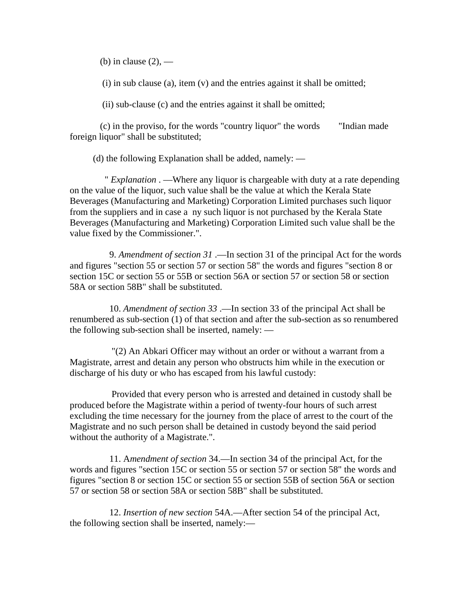(b) in clause  $(2)$ , —

(i) in sub clause (a), item (v) and the entries against it shall be omitted;

(ii) sub-clause (c) and the entries against it shall be omitted;

 (c) in the proviso, for the words "country liquor" the words "Indian made foreign liquor" shall be substituted;

(d) the following Explanation shall be added, namely: —

 " *Explanation* . —Where any liquor is chargeable with duty at a rate depending on the value of the liquor, such value shall be the value at which the Kerala State Beverages (Manufacturing and Marketing) Corporation Limited purchases such liquor from the suppliers and in case a ny such liquor is not purchased by the Kerala State Beverages (Manufacturing and Marketing) Corporation Limited such value shall be the value fixed by the Commissioner.".

 9. *Amendment of section 31* .—In section 31 of the principal Act for the words and figures "section 55 or section 57 or section 58" the words and figures "section 8 or section 15C or section 55 or 55B or section 56A or section 57 or section 58 or section 58A or section 58B" shall be substituted.

 10. *Amendment of section 33* .—In section 33 of the principal Act shall be renumbered as sub-section (1) of that section and after the sub-section as so renumbered the following sub-section shall be inserted, namely: —

 "(2) An Abkari Officer may without an order or without a warrant from a Magistrate, arrest and detain any person who obstructs him while in the execution or discharge of his duty or who has escaped from his lawful custody:

 Provided that every person who is arrested and detained in custody shall be produced before the Magistrate within a period of twenty-four hours of such arrest excluding the time necessary for the journey from the place of arrest to the court of the Magistrate and no such person shall be detained in custody beyond the said period without the authority of a Magistrate.".

 11. A*mendment of section* 34.—In section 34 of the principal Act, for the words and figures "section 15C or section 55 or section 57 or section 58" the words and figures "section 8 or section 15C or section 55 or section 55B of section 56A or section 57 or section 58 or section 58A or section 58B" shall be substituted.

 12. *Insertion of new section* 54A.—After section 54 of the principal Act, the following section shall be inserted, namely:—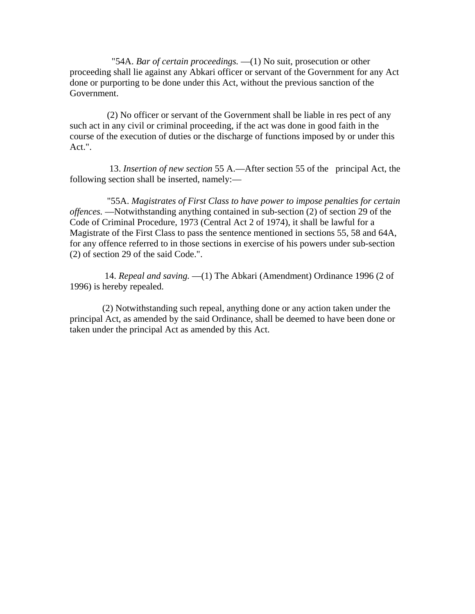"54A. *Bar of certain proceedings.* —(1) No suit, prosecution or other proceeding shall lie against any Abkari officer or servant of the Government for any Act done or purporting to be done under this Act, without the previous sanction of the Government.

 (2) No officer or servant of the Government shall be liable in res pect of any such act in any civil or criminal proceeding, if the act was done in good faith in the course of the execution of duties or the discharge of functions imposed by or under this Act.".

 13. *Insertion of new section* 55 A.—After section 55 of the principal Act, the following section shall be inserted, namely:—

 "55A. *Magistrates of First Class to have power to impose penalties for certain offences.* —Notwithstanding anything contained in sub-section (2) of section 29 of the Code of Criminal Procedure, 1973 (Central Act 2 of 1974), it shall be lawful for a Magistrate of the First Class to pass the sentence mentioned in sections 55, 58 and 64A, for any offence referred to in those sections in exercise of his powers under sub-section (2) of section 29 of the said Code.".

 14. *Repeal and saving.* —(1) The Abkari (Amendment) Ordinance 1996 (2 of 1996) is hereby repealed.

 (2) Notwithstanding such repeal, anything done or any action taken under the principal Act, as amended by the said Ordinance, shall be deemed to have been done or taken under the principal Act as amended by this Act.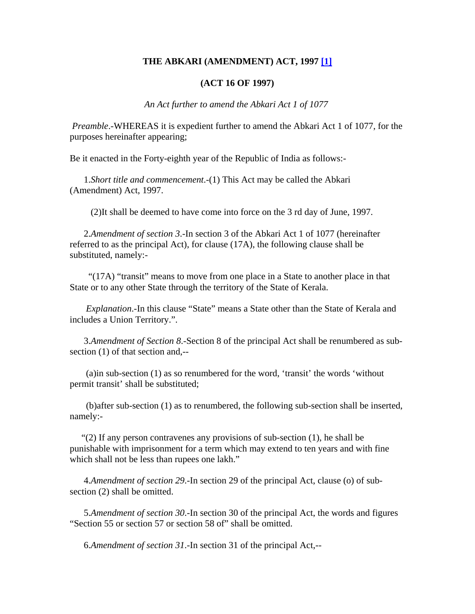#### **THE ABKARI (AMENDMENT) ACT, 1997 [\[1\]](javascript:void(0))**

#### **(ACT 16 OF 1997)**

*An Act further to amend the Abkari Act 1 of 1077* 

 *Preamble*.-WHEREAS it is expedient further to amend the Abkari Act 1 of 1077, for the purposes hereinafter appearing;

Be it enacted in the Forty-eighth year of the Republic of India as follows:-

 1.*Short title and commencement*.-(1) This Act may be called the Abkari (Amendment) Act, 1997.

(2)It shall be deemed to have come into force on the 3 rd day of June, 1997.

 2.*Amendment of section 3*.-In section 3 of the Abkari Act 1 of 1077 (hereinafter referred to as the principal Act), for clause (17A), the following clause shall be substituted, namely:-

 "(17A) "transit" means to move from one place in a State to another place in that State or to any other State through the territory of the State of Kerala.

*Explanation*.-In this clause "State" means a State other than the State of Kerala and includes a Union Territory.".

 3.*Amendment of Section 8*.-Section 8 of the principal Act shall be renumbered as subsection (1) of that section and,--

 (a)in sub-section (1) as so renumbered for the word, 'transit' the words 'without permit transit' shall be substituted;

 (b)after sub-section (1) as to renumbered, the following sub-section shall be inserted, namely:-

 "(2) If any person contravenes any provisions of sub-section (1), he shall be punishable with imprisonment for a term which may extend to ten years and with fine which shall not be less than rupees one lakh."

 4.*Amendment of section 29*.-In section 29 of the principal Act, clause (o) of subsection (2) shall be omitted.

 5.*Amendment of section 30*.-In section 30 of the principal Act, the words and figures "Section 55 or section 57 or section 58 of" shall be omitted.

6.*Amendment of section 31*.-In section 31 of the principal Act,--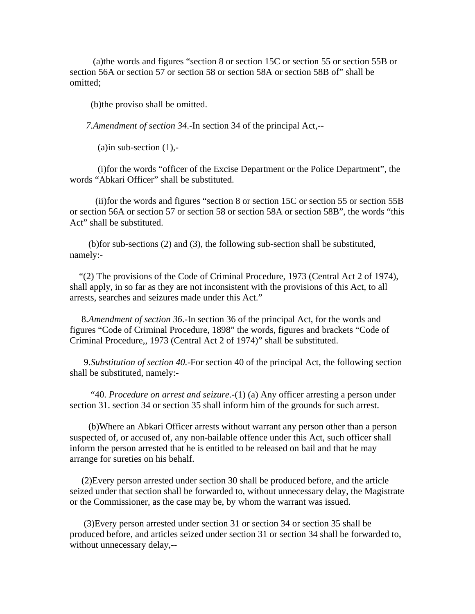(a)the words and figures "section 8 or section 15C or section 55 or section 55B or section 56A or section 57 or section 58 or section 58A or section 58B of" shall be omitted;

(b)the proviso shall be omitted.

 *7.Amendment of section 34*.-In section 34 of the principal Act,--

(a)in sub-section  $(1)$ ,-

 (i)for the words "officer of the Excise Department or the Police Department", the words "Abkari Officer" shall be substituted.

 (ii)for the words and figures "section 8 or section 15C or section 55 or section 55B or section 56A or section 57 or section 58 or section 58A or section 58B", the words "this Act" shall be substituted.

 (b)for sub-sections (2) and (3), the following sub-section shall be substituted, namely:-

 "(2) The provisions of the Code of Criminal Procedure, 1973 (Central Act 2 of 1974), shall apply, in so far as they are not inconsistent with the provisions of this Act, to all arrests, searches and seizures made under this Act."

 8.*Amendment of section 36*.-In section 36 of the principal Act, for the words and figures "Code of Criminal Procedure, 1898" the words, figures and brackets "Code of Criminal Procedure,, 1973 (Central Act 2 of 1974)" shall be substituted.

 9.*Substitution of section 40.-*For section 40 of the principal Act, the following section shall be substituted, namely:-

 "40. *Procedure on arrest and seizure*.-(1) (a) Any officer arresting a person under section 31. section 34 or section 35 shall inform him of the grounds for such arrest.

 (b)Where an Abkari Officer arrests without warrant any person other than a person suspected of, or accused of, any non-bailable offence under this Act, such officer shall inform the person arrested that he is entitled to be released on bail and that he may arrange for sureties on his behalf.

 (2)Every person arrested under section 30 shall be produced before, and the article seized under that section shall be forwarded to, without unnecessary delay, the Magistrate or the Commissioner, as the case may be, by whom the warrant was issued.

 (3)Every person arrested under section 31 or section 34 or section 35 shall be produced before, and articles seized under section 31 or section 34 shall be forwarded to, without unnecessary delay,--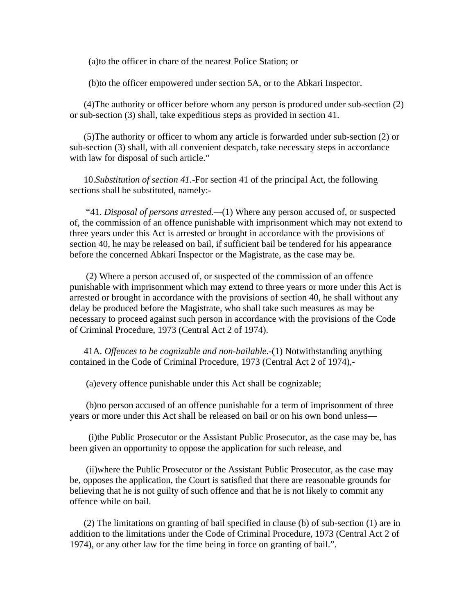(a)to the officer in chare of the nearest Police Station; or

(b)to the officer empowered under section 5A, or to the Abkari Inspector.

 (4)The authority or officer before whom any person is produced under sub-section (2) or sub-section (3) shall, take expeditious steps as provided in section 41.

 (5)The authority or officer to whom any article is forwarded under sub-section (2) or sub-section (3) shall, with all convenient despatch, take necessary steps in accordance with law for disposal of such article."

 10.*Substitution of section 41.-*For section 41 of the principal Act, the following sections shall be substituted, namely:-

 "41. *Disposal of persons arrested.—*(1) Where any person accused of, or suspected of, the commission of an offence punishable with imprisonment which may not extend to three years under this Act is arrested or brought in accordance with the provisions of section 40, he may be released on bail, if sufficient bail be tendered for his appearance before the concerned Abkari Inspector or the Magistrate, as the case may be.

 (2) Where a person accused of, or suspected of the commission of an offence punishable with imprisonment which may extend to three years or more under this Act is arrested or brought in accordance with the provisions of section 40, he shall without any delay be produced before the Magistrate, who shall take such measures as may be necessary to proceed against such person in accordance with the provisions of the Code of Criminal Procedure, 1973 (Central Act 2 of 1974).

 41A. *Offences to be cognizable and non-bailable*.-(1) Notwithstanding anything contained in the Code of Criminal Procedure, 1973 (Central Act 2 of 1974),-

(a)every offence punishable under this Act shall be cognizable;

 (b)no person accused of an offence punishable for a term of imprisonment of three years or more under this Act shall be released on bail or on his own bond unless—

 (i)the Public Prosecutor or the Assistant Public Prosecutor, as the case may be, has been given an opportunity to oppose the application for such release, and

 (ii)where the Public Prosecutor or the Assistant Public Prosecutor, as the case may be, opposes the application, the Court is satisfied that there are reasonable grounds for believing that he is not guilty of such offence and that he is not likely to commit any offence while on bail.

 (2) The limitations on granting of bail specified in clause (b) of sub-section (1) are in addition to the limitations under the Code of Criminal Procedure, 1973 (Central Act 2 of 1974), or any other law for the time being in force on granting of bail.".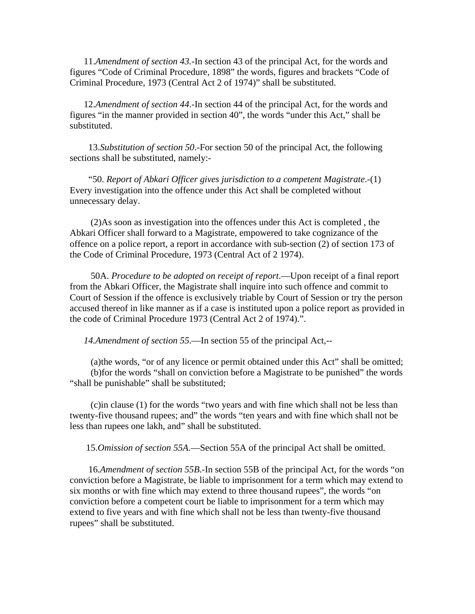11.*Amendment of section 43.-*In section 43 of the principal Act, for the words and figures "Code of Criminal Procedure, 1898" the words, figures and brackets "Code of Criminal Procedure, 1973 (Central Act 2 of 1974)" shall be substituted.

 12.*Amendment of section 44*.-In section 44 of the principal Act, for the words and figures "in the manner provided in section 40", the words "under this Act," shall be substituted.

 13.*Substitution of section 50*.-For section 50 of the principal Act, the following sections shall be substituted, namely:-

 "50. *Report of Abkari Officer gives jurisdiction to a competent Magistrate*.-(1) Every investigation into the offence under this Act shall be completed without unnecessary delay.

 (2)As soon as investigation into the offences under this Act is completed , the Abkari Officer shall forward to a Magistrate, empowered to take cognizance of the offence on a police report, a report in accordance with sub-section (2) of section 173 of the Code of Criminal Procedure, 1973 (Central Act of 2 1974).

 50A. *Procedure to be adopted on receipt of report*.—Upon receipt of a final report from the Abkari Officer, the Magistrate shall inquire into such offence and commit to Court of Session if the offence is exclusively triable by Court of Session or try the person accused thereof in like manner as if a case is instituted upon a police report as provided in the code of Criminal Procedure 1973 (Central Act 2 of 1974).".

*14.Amendment of section 55*.—In section 55 of the principal Act,--

 (a)the words, "or of any licence or permit obtained under this Act" shall be omitted; (b)for the words "shall on conviction before a Magistrate to be punished" the words "shall be punishable" shall be substituted;

 (c)in clause (1) for the words "two years and with fine which shall not be less than twenty-five thousand rupees; and" the words "ten years and with fine which shall not be less than rupees one lakh, and" shall be substituted.

15.*Omission of section 55A*.—Section 55A of the principal Act shall be omitted.

 16.*Amendment of section 55B*.-In section 55B of the principal Act, for the words "on conviction before a Magistrate, be liable to imprisonment for a term which may extend to six months or with fine which may extend to three thousand rupees", the words "on conviction before a competent court be liable to imprisonment for a term which may extend to five years and with fine which shall not be less than twenty-five thousand rupees" shall be substituted.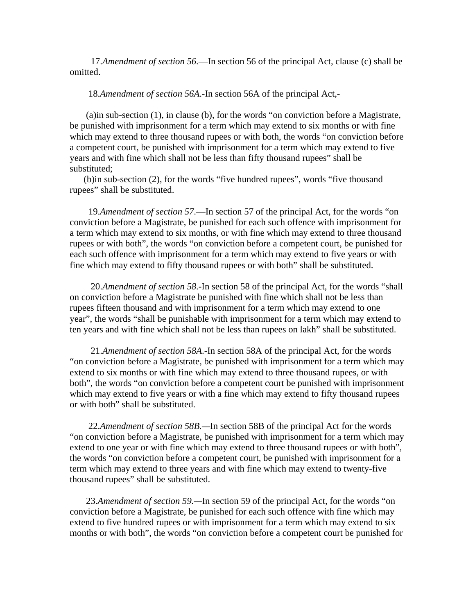17.*Amendment of section 56*.—In section 56 of the principal Act, clause (c) shall be omitted.

18.*Amendment of section 56A*.-In section 56A of the principal Act,-

 (a)in sub-section (1), in clause (b), for the words "on conviction before a Magistrate, be punished with imprisonment for a term which may extend to six months or with fine which may extend to three thousand rupees or with both, the words "on conviction before a competent court, be punished with imprisonment for a term which may extend to five years and with fine which shall not be less than fifty thousand rupees" shall be substituted;

 (b)in sub-section (2), for the words "five hundred rupees", words "five thousand rupees" shall be substituted.

 19.*Amendment of section 57*.—In section 57 of the principal Act, for the words "on conviction before a Magistrate, be punished for each such offence with imprisonment for a term which may extend to six months, or with fine which may extend to three thousand rupees or with both", the words "on conviction before a competent court, be punished for each such offence with imprisonment for a term which may extend to five years or with fine which may extend to fifty thousand rupees or with both" shall be substituted.

 20.*Amendment of section 58*.-In section 58 of the principal Act, for the words "shall on conviction before a Magistrate be punished with fine which shall not be less than rupees fifteen thousand and with imprisonment for a term which may extend to one year", the words "shall be punishable with imprisonment for a term which may extend to ten years and with fine which shall not be less than rupees on lakh" shall be substituted.

 21.*Amendment of section 58A*.-In section 58A of the principal Act, for the words "on conviction before a Magistrate, be punished with imprisonment for a term which may extend to six months or with fine which may extend to three thousand rupees, or with both", the words "on conviction before a competent court be punished with imprisonment which may extend to five years or with a fine which may extend to fifty thousand rupees or with both" shall be substituted.

 22.*Amendment of section 58B.—*In section 58B of the principal Act for the words "on conviction before a Magistrate, be punished with imprisonment for a term which may extend to one year or with fine which may extend to three thousand rupees or with both", the words "on conviction before a competent court, be punished with imprisonment for a term which may extend to three years and with fine which may extend to twenty-five thousand rupees" shall be substituted.

 23.*Amendment of section 59.—*In section 59 of the principal Act, for the words "on conviction before a Magistrate, be punished for each such offence with fine which may extend to five hundred rupees or with imprisonment for a term which may extend to six months or with both", the words "on conviction before a competent court be punished for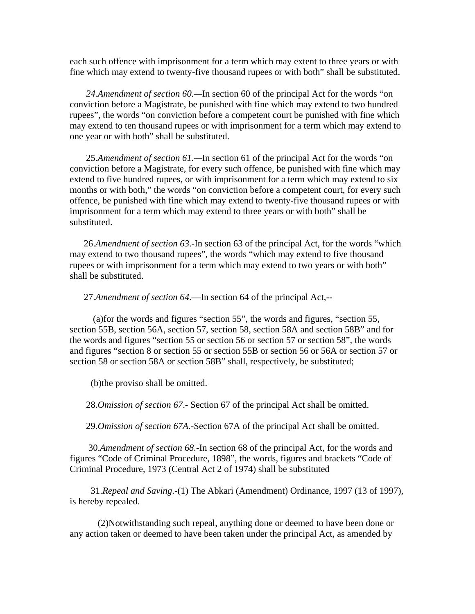each such offence with imprisonment for a term which may extent to three years or with fine which may extend to twenty-five thousand rupees or with both" shall be substituted.

 *24.Amendment of section 60.—*In section 60 of the principal Act for the words "on conviction before a Magistrate, be punished with fine which may extend to two hundred rupees", the words "on conviction before a competent court be punished with fine which may extend to ten thousand rupees or with imprisonment for a term which may extend to one year or with both" shall be substituted.

 25.*Amendment of section 61.—*In section 61 of the principal Act for the words "on conviction before a Magistrate, for every such offence, be punished with fine which may extend to five hundred rupees, or with imprisonment for a term which may extend to six months or with both," the words "on conviction before a competent court, for every such offence, be punished with fine which may extend to twenty-five thousand rupees or with imprisonment for a term which may extend to three years or with both" shall be substituted.

 26.*Amendment of section 63*.-In section 63 of the principal Act, for the words "which may extend to two thousand rupees", the words "which may extend to five thousand rupees or with imprisonment for a term which may extend to two years or with both" shall be substituted.

27.*Amendment of section 64*.—In section 64 of the principal Act,--

 (a)for the words and figures "section 55", the words and figures, "section 55, section 55B, section 56A, section 57, section 58, section 58A and section 58B" and for the words and figures "section 55 or section 56 or section 57 or section 58", the words and figures "section 8 or section 55 or section 55B or section 56 or 56A or section 57 or section 58 or section 58A or section 58B" shall, respectively, be substituted;

(b)the proviso shall be omitted.

28.*Omission of section 67*.- Section 67 of the principal Act shall be omitted.

29.*Omission of section 67A*.-Section 67A of the principal Act shall be omitted.

 30.*Amendment of section 68.-*In section 68 of the principal Act, for the words and figures "Code of Criminal Procedure, 1898", the words, figures and brackets "Code of Criminal Procedure, 1973 (Central Act 2 of 1974) shall be substituted

 31.*Repeal and Saving*.-(1) The Abkari (Amendment) Ordinance, 1997 (13 of 1997), is hereby repealed.

 (2)Notwithstanding such repeal, anything done or deemed to have been done or any action taken or deemed to have been taken under the principal Act, as amended by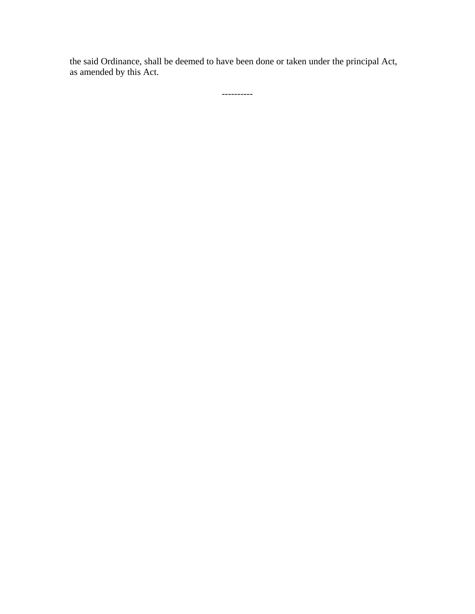the said Ordinance, shall be deemed to have been done or taken under the principal Act, as amended by this Act.

----------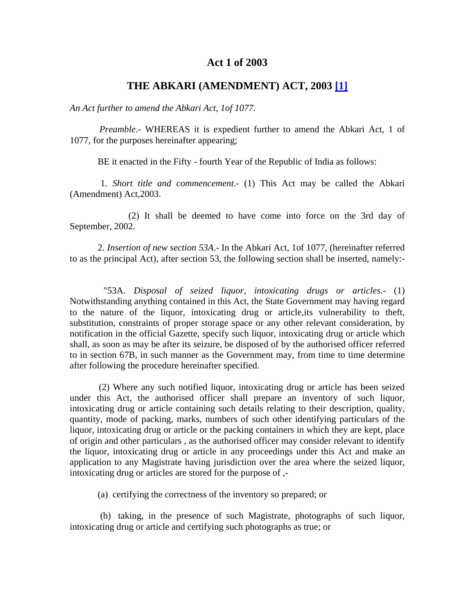# **Act 1 of 2003**

# **THE ABKARI (AMENDMENT) ACT, 2003 [\[1\]](javascript:void(0))**

*An Act further to amend the Abkari Act, 1of 1077.*

 *Preamble*.- WHEREAS it is expedient further to amend the Abkari Act, 1 of 1077, for the purposes hereinafter appearing;

BE it enacted in the Fifty - fourth Year of the Republic of India as follows:

 1. *Short title and commencement*.- (1) This Act may be called the Abkari (Amendment) Act,2003.

 (2) It shall be deemed to have come into force on the 3rd day of September, 2002.

 2. *Insertion of new section 53A*.- In the Abkari Act, 1of 1077, (hereinafter referred to as the principal Act), after section 53, the following section shall be inserted, namely:-

 "53A. *Disposal of seized liquor, intoxicating drugs or articles*.- (1) Notwithstanding anything contained in this Act, the State Government may having regard to the nature of the liquor, intoxicating drug or article,its vulnerability to theft, substitution, constraints of proper storage space or any other relevant consideration, by notification in the official Gazette, specify such liquor, intoxicating drug or article which shall, as soon as may be after its seizure, be disposed of by the authorised officer referred to in section 67B, in such manner as the Government may, from time to time determine after following the procedure hereinafter specified.

 (2) Where any such notified liquor, intoxicating drug or article has been seized under this Act, the authorised officer shall prepare an inventory of such liquor, intoxicating drug or article containing such details relating to their description, quality, quantity, mode of packing, marks, numbers of such other identifying particulars of the liquor, intoxicating drug or article or the packing containers in which they are kept, place of origin and other particulars , as the authorised officer may consider relevant to identify the liquor, intoxicating drug or article in any proceedings under this Act and make an application to any Magistrate having jurisdiction over the area where the seized liquor, intoxicating drug or articles are stored for the purpose of ,-

(a) certifying the correctness of the inventory so prepared; or

 (b) taking, in the presence of such Magistrate, photographs of such liquor, intoxicating drug or article and certifying such photographs as true; or